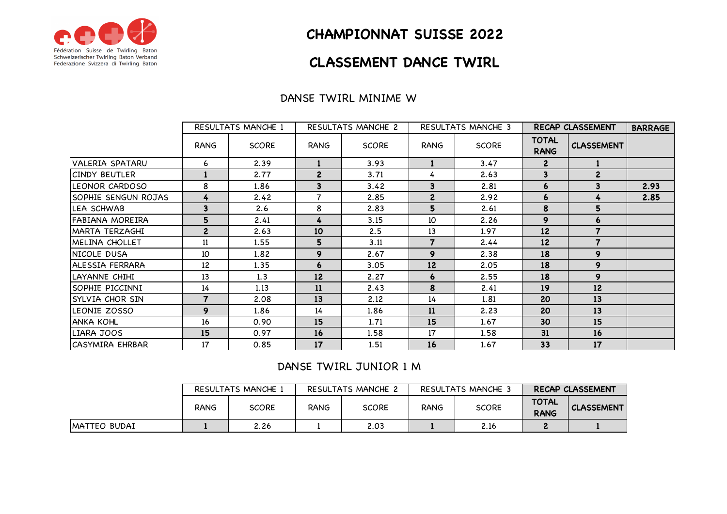

# **CHAMPIONNAT SUISSE 2022**

# **CLASSEMENT DANCE TWIRL**

### DANSE TWIRL MINIME W

|                        | <b>RESULTATS MANCHE 1</b> |              | RESULTATS MANCHE 2      |              |                         | RESULTATS MANCHE 3 | RECAP CLASSEMENT            | <b>BARRAGE</b>           |      |
|------------------------|---------------------------|--------------|-------------------------|--------------|-------------------------|--------------------|-----------------------------|--------------------------|------|
|                        | RANG                      | <b>SCORE</b> | RANG                    | <b>SCORE</b> | RANG                    | <b>SCORE</b>       | <b>TOTAL</b><br><b>RANG</b> | <b>CLASSEMENT</b>        |      |
| <b>VALERIA SPATARU</b> | 6                         | 2.39         |                         | 3.93         |                         | 3.47               | $\mathbf{2}$                |                          |      |
| ICINDY BEUTLER         |                           | 2.77         | $\overline{2}$          | 3.71         | 4                       | 2.63               | 3                           | $\mathbf{2}$             |      |
| <b>ILEONOR CARDOSO</b> | 8                         | 1.86         | $\overline{\mathbf{3}}$ | 3.42         | 3                       | 2.81               | 6                           | 3                        | 2.93 |
| SOPHIE SENGUN ROJAS    | 4                         | 2.42         | $\overline{7}$          | 2.85         | $\mathbf{2}$            | 2.92               | 6                           |                          | 2.85 |
| LEA SCHWAB             | 3                         | 2.6          | 8                       | 2.83         | 5                       | 2.61               | 8                           | 5                        |      |
| IFABIANA MOREIRA       | 5                         | 2.41         | 4                       | 3.15         | 10                      | 2.26               | 9                           | 6                        |      |
| MARTA TERZAGHI         | $\mathbf{2}$              | 2.63         | 10                      | 2.5          | 13                      | 1.97               | 12                          |                          |      |
| MELINA CHOLLET         | 11                        | 1.55         | 5                       | 3.11         | $\overline{\mathbf{z}}$ | 2.44               | 12                          | $\overline{\phantom{a}}$ |      |
| INICOLE DUSA           | 10                        | 1.82         | 9                       | 2.67         | 9                       | 2.38               | 18                          | 9                        |      |
| IALESSIA FERRARA       | 12                        | 1.35         | $\boldsymbol{6}$        | 3.05         | 12                      | 2.05               | 18                          | 9                        |      |
| ILAYANNE CHIHI         | 13                        | 1.3          | 12                      | 2.27         | 6                       | 2.55               | 18                          | 9                        |      |
| ISOPHIE PICCINNI       | 14                        | 1.13         | <b>11</b>               | 2.43         | 8                       | 2.41               | 19                          | 12 <sup>2</sup>          |      |
| SYLVIA CHOR SIN        | $\overline{7}$            | 2.08         | 13                      | 2.12         | 14                      | 1.81               | 20                          | 13                       |      |
| LEONIE ZOSSO           | 9                         | 1.86         | 14                      | 1.86         | 11                      | 2.23               | 20                          | 13                       |      |
| <b>ANKA KOHL</b>       | 16                        | 0.90         | 15                      | 1.71         | 15                      | 1.67               | 30                          | 15                       |      |
| LIARA JOOS             | 15                        | 0.97         | 16                      | 1.58         | 17                      | 1.58               | 31                          | 16                       |      |
| <b>CASYMIRA EHRBAR</b> | 17                        | 0.85         | 17                      | 1.51         | 16                      | 1.67               | 33                          | 17                       |      |

### DANSE TWIRL JUNIOR 1 M

|               | RESULTATS MANCHE 1 |       | RESULTATS MANCHE 2 |              | RESULTATS MANCHE 3 |              | <b>RECAP CLASSEMENT</b>     |                   |
|---------------|--------------------|-------|--------------------|--------------|--------------------|--------------|-----------------------------|-------------------|
|               | <b>RANG</b>        | SCORE | <b>RANG</b>        | <b>SCORE</b> | RANG               | <b>SCORE</b> | <b>TOTAL</b><br><b>RANG</b> | <b>CLASSEMENT</b> |
| IMATTEO BUDAI |                    | 2.26  |                    | 2.03         |                    | 2.16         |                             |                   |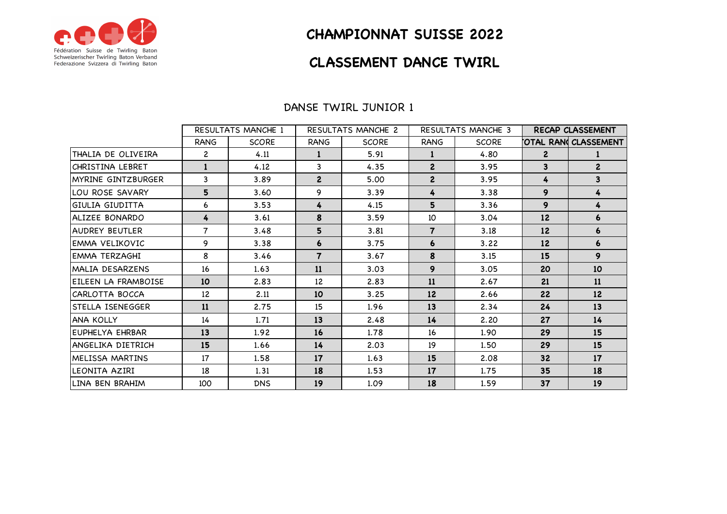

# **CHAMPIONNAT SUISSE 2022**

### **CLASSEMENT DANCE TWIRL**

|                       | <b>RESULTATS MANCHE 1</b> |              | <b>RESULTATS MANCHE 2</b> |              | <b>RESULTATS MANCHE 3</b> |              | <b>RECAP CLASSEMENT</b> |                         |
|-----------------------|---------------------------|--------------|---------------------------|--------------|---------------------------|--------------|-------------------------|-------------------------|
|                       | RANG                      | <b>SCORE</b> | <b>RANG</b>               | <b>SCORE</b> | <b>RANG</b>               | <b>SCORE</b> |                         | OTAL RAN CLASSEMENT     |
| THALIA DE OLIVEIRA    | $\overline{c}$            | 4.11         | 1                         | 5.91         | $\mathbf{1}$              | 4.80         | $\mathbf{2}$            |                         |
| CHRISTINA LEBRET      | $\mathbf{1}$              | 4.12         | 3                         | 4.35         | $\overline{2}$            | 3.95         | 3                       | $\overline{2}$          |
| MYRINE GINTZBURGER    | 3                         | 3.89         | $\overline{2}$            | 5.00         | $\mathbf{2}$              | 3.95         | 4                       | $\overline{\mathbf{3}}$ |
| LOU ROSE SAVARY       | 5                         | 3.60         | 9                         | 3.39         | 4                         | 3.38         | 9                       | 4                       |
| GIULIA GIUDITTA       | 6                         | 3.53         | 4                         | 4.15         | 5                         | 3.36         | 9                       | 4                       |
| ALIZEE BONARDO        | 4                         | 3.61         | 8                         | 3.59         | 10                        | 3.04         | 12                      | 6                       |
| <b>AUDREY BEUTLER</b> | 7                         | 3.48         | 5                         | 3.81         | $\overline{7}$            | 3.18         | 12                      | 6                       |
| EMMA VELIKOVIC        | 9                         | 3.38         | 6                         | 3.75         | 6                         | 3.22         | 12                      | 6                       |
| EMMA TERZAGHI         | 8                         | 3.46         | $\overline{7}$            | 3.67         | 8                         | 3.15         | 15                      | 9                       |
| MALIA DESARZENS       | 16                        | 1.63         | 11                        | 3.03         | 9                         | 3.05         | 20                      | 10                      |
| EILEEN LA FRAMBOISE   | 10                        | 2.83         | 12                        | 2.83         | 11                        | 2.67         | 21                      | 11                      |
| CARLOTTA BOCCA        | 12                        | 2.11         | 10                        | 3.25         | 12                        | 2.66         | 22                      | 12                      |
| STELLA ISENEGGER      | 11                        | 2.75         | 15                        | 1.96         | 13                        | 2.34         | 24                      | 13                      |
| ANA KOLLY             | 14                        | 1.71         | 13                        | 2.48         | 14                        | 2.20         | 27                      | 14                      |
| EUPHELYA EHRBAR       | 13                        | 1.92         | <b>16</b>                 | 1.78         | 16                        | 1.90         | 29                      | 15                      |
| ANGELIKA DIETRICH     | 15                        | 1.66         | 14                        | 2.03         | 19                        | 1.50         | 29                      | 15                      |
| MELISSA MARTINS       | 17                        | 1.58         | 17                        | 1.63         | 15                        | 2.08         | 32                      | 17                      |
| LEONITA AZIRI         | 18                        | 1.31         | 18                        | 1.53         | 17                        | 1.75         | 35                      | 18                      |
| LINA BEN BRAHIM       | 100                       | <b>DNS</b>   | 19                        | 1.09         | 18                        | 1.59         | 37                      | 19                      |

#### DANSE TWIRL JUNIOR 1